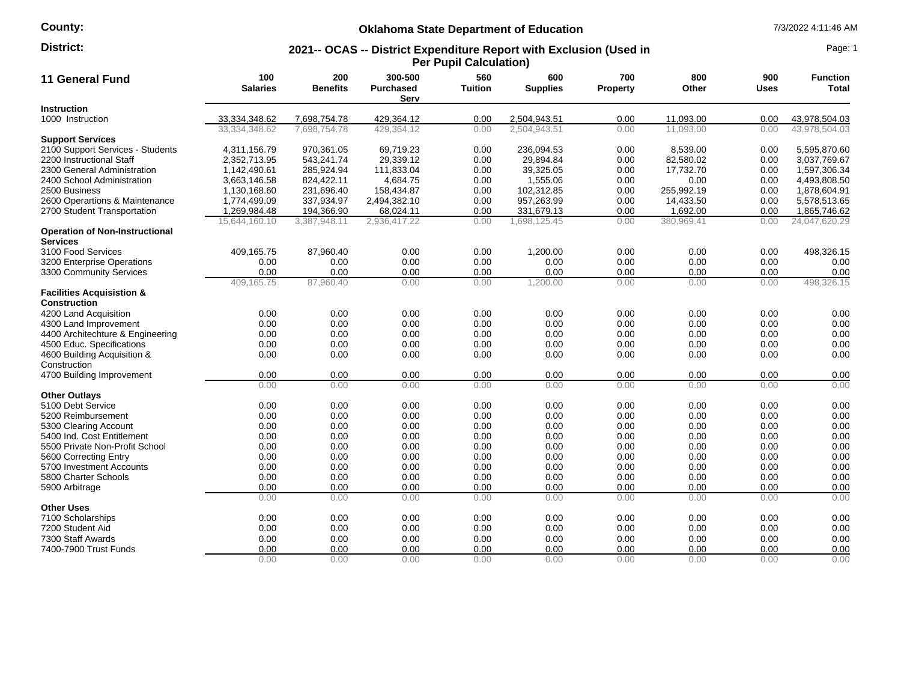# **County:**

# **Oklahoma State Department of Education** 7/3/2022 4:11:46 AM

#### **2021-- OCAS -- District Expenditure Report with Exclusion (Used in Per Pupil Calculation) District:** Page: 1

| 11 General Fund                                             | 100<br><b>Salaries</b> | 200<br><b>Benefits</b> | 300-500<br><b>Purchased</b><br>Serv | 560<br>Tuition | 600<br><b>Supplies</b> | 700<br><b>Property</b> | 800<br>Other | 900<br><b>Uses</b> | <b>Function</b><br>Total |
|-------------------------------------------------------------|------------------------|------------------------|-------------------------------------|----------------|------------------------|------------------------|--------------|--------------------|--------------------------|
| <b>Instruction</b>                                          |                        |                        |                                     |                |                        |                        |              |                    |                          |
| 1000 Instruction                                            | 33,334,348.62          | 7,698,754.78           | 429,364.12                          | 0.00           | 2,504,943.51           | 0.00                   | 11,093.00    | 0.00               | 43,978,504.03            |
|                                                             | 33,334,348.62          | 7.698.754.78           | 429,364.12                          | 0.00           | 2,504,943.51           | 0.00                   | 11.093.00    | 0.00               | 43,978,504.03            |
| <b>Support Services</b>                                     |                        |                        |                                     |                |                        |                        |              |                    |                          |
| 2100 Support Services - Students                            | 4,311,156.79           | 970,361.05             | 69,719.23                           | 0.00           | 236,094.53             | 0.00                   | 8,539.00     | 0.00               | 5,595,870.60             |
| 2200 Instructional Staff                                    | 2,352,713.95           | 543,241.74             | 29,339.12                           | 0.00           | 29,894.84              | 0.00                   | 82,580.02    | 0.00               | 3,037,769.67             |
| 2300 General Administration                                 | 1,142,490.61           | 285.924.94             | 111,833.04                          | 0.00           | 39.325.05              | 0.00                   | 17,732.70    | 0.00               | 1,597,306.34             |
| 2400 School Administration                                  | 3,663,146.58           | 824,422.11             | 4,684.75                            | 0.00           | 1,555.06               | 0.00                   | 0.00         | 0.00               | 4,493,808.50             |
| 2500 Business                                               | 1,130,168.60           | 231,696.40             | 158,434.87                          | 0.00           | 102,312.85             | 0.00                   | 255,992.19   | 0.00               | 1,878,604.91             |
| 2600 Operartions & Maintenance                              | 1,774,499.09           | 337,934.97             | 2,494,382.10                        | 0.00           | 957,263.99             | 0.00                   | 14,433.50    | 0.00               | 5,578,513.65             |
| 2700 Student Transportation                                 | 1,269,984.48           | 194,366.90             | 68,024.11                           | 0.00           | 331,679.13             | 0.00                   | 1,692.00     | 0.00               | 1,865,746.62             |
|                                                             | 15,644,160.10          | 3,387,948.11           | 2,936,417.22                        | 0.00           | 1,698,125.45           | 0.00                   | 380,969.41   | 0.00               | 24,047,620.29            |
| <b>Operation of Non-Instructional</b><br><b>Services</b>    |                        |                        |                                     |                |                        |                        |              |                    |                          |
| 3100 Food Services                                          | 409,165.75             | 87,960.40              | 0.00                                | 0.00           | 1,200.00               | 0.00                   | 0.00         | 0.00               | 498,326.15               |
| 3200 Enterprise Operations                                  | 0.00                   | 0.00                   | 0.00                                | 0.00           | 0.00                   | 0.00                   | 0.00         | 0.00               | 0.00                     |
| 3300 Community Services                                     | 0.00                   | 0.00                   | 0.00                                | 0.00           | 0.00                   | 0.00                   | 0.00         | 0.00               | 0.00                     |
|                                                             | 409,165.75             | 87,960.40              | 0.00                                | 0.00           | 1,200.00               | 0.00                   | 0.00         | 0.00               | 498,326.15               |
| <b>Facilities Acquisistion &amp;</b><br><b>Construction</b> |                        |                        |                                     |                |                        |                        |              |                    |                          |
| 4200 Land Acquisition                                       | 0.00                   | 0.00                   | 0.00                                | 0.00           | 0.00                   | 0.00                   | 0.00         | 0.00               | 0.00                     |
| 4300 Land Improvement                                       | 0.00                   | 0.00                   | 0.00                                | 0.00           | 0.00                   | 0.00                   | 0.00         | 0.00               | 0.00                     |
| 4400 Architechture & Engineering                            | 0.00                   | 0.00                   | 0.00                                | 0.00           | 0.00                   | 0.00                   | 0.00         | 0.00               | 0.00                     |
| 4500 Educ. Specifications                                   | 0.00                   | 0.00                   | 0.00                                | 0.00           | 0.00                   | 0.00                   | 0.00         | 0.00               | 0.00                     |
| 4600 Building Acquisition &                                 | 0.00                   | 0.00                   | 0.00                                | 0.00           | 0.00                   | 0.00                   | 0.00         | 0.00               | 0.00                     |
| Construction                                                |                        |                        |                                     |                |                        |                        |              |                    |                          |
| 4700 Building Improvement                                   | 0.00                   | 0.00                   | 0.00                                | 0.00           | 0.00                   | 0.00                   | 0.00         | 0.00               | 0.00                     |
|                                                             | 0.00                   | 0.00                   | 0.00                                | 0.00           | 0.00                   | 0.00                   | 0.00         | 0.00               | 0.00                     |
| <b>Other Outlays</b>                                        |                        |                        |                                     |                |                        |                        |              |                    |                          |
| 5100 Debt Service                                           | 0.00                   | 0.00                   | 0.00                                | 0.00           | 0.00                   | 0.00                   | 0.00         | 0.00               | 0.00                     |
| 5200 Reimbursement                                          | 0.00                   | 0.00                   | 0.00                                | 0.00           | 0.00                   | 0.00                   | 0.00         | 0.00               | 0.00                     |
| 5300 Clearing Account                                       | 0.00                   | 0.00                   | 0.00                                | 0.00           | 0.00                   | 0.00                   | 0.00         | 0.00               | 0.00                     |
| 5400 Ind. Cost Entitlement                                  | 0.00                   | 0.00                   | 0.00                                | 0.00           | 0.00                   | 0.00                   | 0.00         | 0.00               | 0.00                     |
| 5500 Private Non-Profit School                              | 0.00                   | 0.00                   | 0.00                                | 0.00           | 0.00                   | 0.00                   | 0.00         | 0.00               | 0.00                     |
| 5600 Correcting Entry                                       | 0.00                   | 0.00                   | 0.00                                | 0.00           | 0.00                   | 0.00                   | 0.00         | 0.00               | 0.00                     |
| 5700 Investment Accounts                                    | 0.00                   | 0.00                   | 0.00                                | 0.00           | 0.00                   | 0.00                   | 0.00         | 0.00               | 0.00                     |
| 5800 Charter Schools                                        | 0.00                   | 0.00                   | 0.00                                | 0.00           | 0.00                   | 0.00                   | 0.00         | 0.00               | 0.00                     |
| 5900 Arbitrage                                              | 0.00                   | 0.00                   | 0.00                                | 0.00           | 0.00                   | 0.00                   | 0.00         | 0.00               | 0.00                     |
|                                                             | 0.00                   | 0.00                   | 0.00                                | 0.00           | 0.00                   | 0.00                   | 0.00         | 0.00               | 0.00                     |
| <b>Other Uses</b>                                           |                        |                        |                                     |                |                        |                        |              |                    |                          |
| 7100 Scholarships                                           | 0.00                   | 0.00                   | 0.00                                | 0.00           | 0.00                   | 0.00                   | 0.00         | 0.00               | 0.00                     |
| 7200 Student Aid                                            | 0.00                   | 0.00                   | 0.00                                | 0.00           | 0.00                   | 0.00                   | 0.00         | 0.00               | 0.00                     |
| 7300 Staff Awards                                           | 0.00                   | 0.00                   | 0.00                                | 0.00           | 0.00                   | 0.00                   | 0.00         | 0.00               | 0.00                     |
| 7400-7900 Trust Funds                                       | 0.00                   | 0.00                   | 0.00                                | 0.00           | 0.00                   | 0.00                   | 0.00         | 0.00               | 0.00                     |
|                                                             | 0.00                   | 0.00                   | 0.00                                | 0.00           | 0.00                   | 0.00                   | 0.00         | 0.00               | 0.00                     |
|                                                             |                        |                        |                                     |                |                        |                        |              |                    |                          |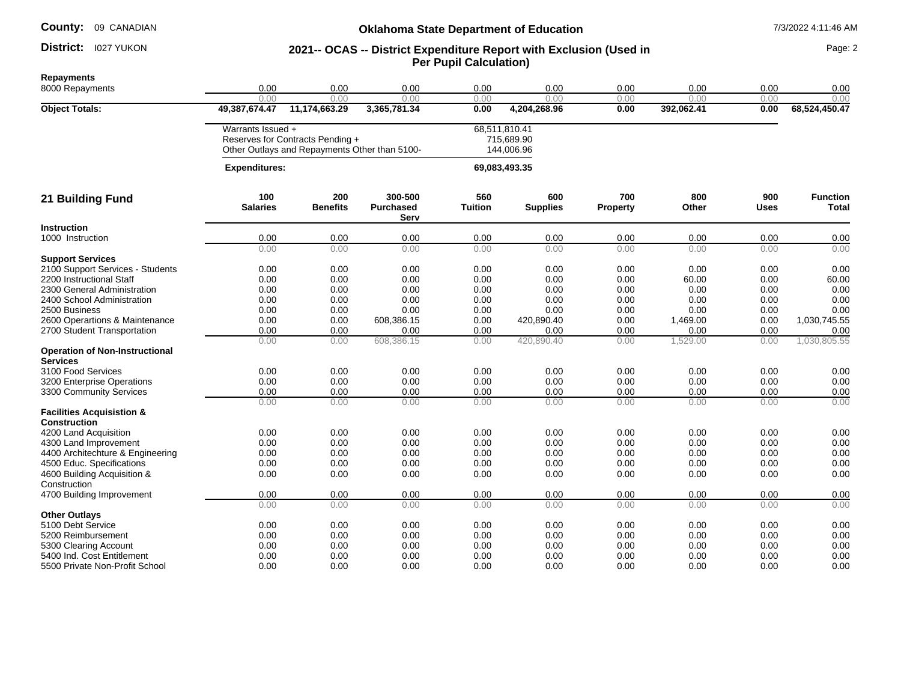**County:** 09 CANADIAN

#### District: I027 YUKON

**Instruction** 

### **Oklahoma State Department of Education 1/3/2022 4:11:46 AM**

# **District:** 1027 YUKON **1988 10: 2021 - 2021-- OCAS -- District Expenditure Report with Exclusion (Used in 2021 - 2021 - 2021 - 2021 - District Expenditure Report with Exclusion (Used in Per Pupil Calculation)**

**Repayments** 8000 Repayments 0.00 0.00 0.00 0.00 0.00 0.00 0.00 0.00 0.00 0.00 0.00 0.00 0.00 0.00 0.00 0.00 0.00 **Object Totals: 49,387,674.47 11,174,663.29 3,365,781.34 0.00 4,204,268.96 0.00 392,062.41 0.00 68,524,450.47** Warrants Issued + 68,511,810.41 Reserves for Contracts Pending + Other Outlays and Repayments Other than 5100- 715,689.90 144,006.96  **Expenditures: 69,083,493.35 21 Building Fund 100 Salaries 200 Benefits 300-500 Purchased Serv 560 Tuition 600 Supplies 700 Property 800 Other 900 Uses Function Total** 1000 Instruction 0.00 0.00 0.00 0.00 0.00 0.00 0.00 0.00 0.00 0.00 0.00 0.00 0.00 0.00 0.00 0.00 0.00 **Support Services** 2100 Support Services - Students 0.00 0.00 0.00 0.00 0.00 0.00 0.00 0.00 0.00 2200 Instructional Staff 0.00 0.00 0.00 0.00 0.00 0.00 60.00 0.00 60.00 2300 General Administration 0.00 0.00 0.00 0.00 0.00 0.00 0.00 0.00 0.00 2400 School Administration 0.00 0.00 0.00 0.00 0.00 0.00 0.00 0.00 2500 Business 0.00 0.00 0.00 0.00 0.00 0.00 0.00 0.00 0.00 2600 Operartions & Maintenance 0.00 0.00 608,386.15 0.00 420,890.40 0.00 1,469.00 0.00 1,030,745.55 2700 Student Transportation  $\frac{0.00}{0.00}$   $\frac{0.00}{0.00}$   $\frac{0.00}{0.00}$   $\frac{0.00}{0.00}$   $\frac{0.00}{420.890.40}$   $\frac{0.00}{0.00}$   $\frac{0.00}{1.529.00}$   $\frac{0.00}{0.00}$   $\frac{0.00}{1.030.805.55}$ 0.00 0.00 608,386.15 0.00 420,890.40 0.00 1,529.00 0.00 1,030,805.55 **Operation of Non-Instructional Services**<br>3100 Food Services 3100 Food Services 0.00 0.00 0.00 0.00 0.00 0.00 0.00 0.00 0.00 3200 Enterprise Operations <br>3300 Community Services <br> $\begin{array}{cccccccc} 0.00 & 0.00 & 0.00 & 0.00 & 0.00 & 0.00 & 0.00 & 0.00 & 0.00 & 0.00 & 0.00 & 0.00 & 0.00 & 0.00 & 0.00 & 0.00 & 0.00 & 0.00 & 0.00 & 0.00 & 0.00 & 0.00 & 0.00 & 0.00 & 0.00 & 0.00 & 0.0$ 0.00 0.00 0.00 0.00 0.00 0.00 0.00 0.00 0.00

| 3300 Community Services              | 0.00 | 0.00 | 0.00 | 0.00 | 0.00 | 0.00 | 0.00 | 0.00 | 0.00 |
|--------------------------------------|------|------|------|------|------|------|------|------|------|
|                                      | 0.00 | 0.00 | 0.00 | 0.00 | 0.00 | 0.00 | 0.00 | 0.00 | 0.00 |
| <b>Facilities Acquisistion &amp;</b> |      |      |      |      |      |      |      |      |      |
| <b>Construction</b>                  |      |      |      |      |      |      |      |      |      |
| 4200 Land Acquisition                | 0.00 | 0.00 | 0.00 | 0.00 | 0.00 | 0.00 | 0.00 | 0.00 | 0.00 |
| 4300 Land Improvement                | 0.00 | 0.00 | 0.00 | 0.00 | 0.00 | 0.00 | 0.00 | 0.00 | 0.00 |
| 4400 Architechture & Engineering     | 0.00 | 0.00 | 0.00 | 0.00 | 0.00 | 0.00 | 0.00 | 0.00 | 0.00 |
| 4500 Educ. Specifications            | 0.00 | 0.00 | 0.00 | 0.00 | 0.00 | 0.00 | 0.00 | 0.00 | 0.00 |
| 4600 Building Acquisition &          | 0.00 | 0.00 | 0.00 | 0.00 | 0.00 | 0.00 | 0.00 | 0.00 | 0.00 |
| Construction                         |      |      |      |      |      |      |      |      |      |
| 4700 Building Improvement            | 0.00 | 0.00 | 0.00 | 0.00 | 0.00 | 0.00 | 0.00 | 0.00 | 0.00 |
|                                      | 0.00 | 0.00 | 0.00 | 0.00 | 0.00 | 0.00 | 0.00 | 0.00 | 0.00 |
| <b>Other Outlays</b>                 |      |      |      |      |      |      |      |      |      |
| 5100 Debt Service                    | 0.00 | 0.00 | 0.00 | 0.00 | 0.00 | 0.00 | 0.00 | 0.00 | 0.00 |
| 5200 Reimbursement                   | 0.00 | 0.00 | 0.00 | 0.00 | 0.00 | 0.00 | 0.00 | 0.00 | 0.00 |
| 5300 Clearing Account                | 0.00 | 0.00 | 0.00 | 0.00 | 0.00 | 0.00 | 0.00 | 0.00 | 0.00 |
| 5400 Ind. Cost Entitlement           | 0.00 | 0.00 | 0.00 | 0.00 | 0.00 | 0.00 | 0.00 | 0.00 | 0.00 |
| 5500 Private Non-Profit School       | 0.00 | 0.00 | 0.00 | 0.00 | 0.00 | 0.00 | 0.00 | 0.00 | 0.00 |
|                                      |      |      |      |      |      |      |      |      |      |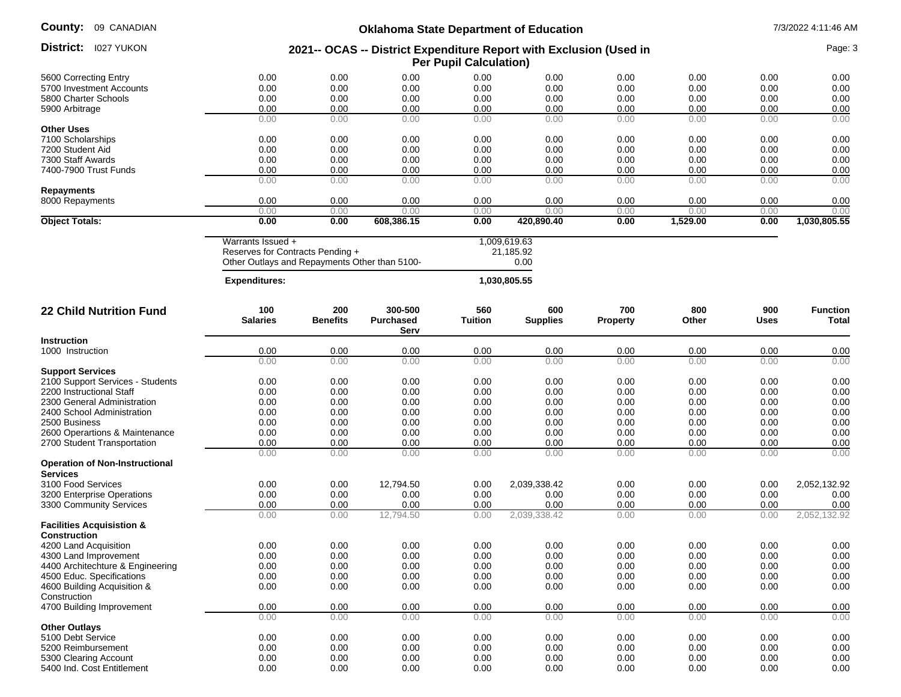**County:**

| County:<br>09 CANADIAN                                | <b>Oklahoma State Department of Education</b>                                                          |                        |                                     |                       |                                   |                        |              | 7/3/2022 4:11:46 AM |                          |  |
|-------------------------------------------------------|--------------------------------------------------------------------------------------------------------|------------------------|-------------------------------------|-----------------------|-----------------------------------|------------------------|--------------|---------------------|--------------------------|--|
| <b>District:</b> 1027 YUKON                           | 2021-- OCAS -- District Expenditure Report with Exclusion (Used in<br><b>Per Pupil Calculation)</b>    |                        |                                     |                       |                                   |                        |              | Page: 3             |                          |  |
| 5600 Correcting Entry                                 | 0.00                                                                                                   | 0.00                   | 0.00                                | 0.00                  | 0.00                              | 0.00                   | 0.00         | 0.00                | 0.00                     |  |
| 5700 Investment Accounts                              | 0.00                                                                                                   | 0.00                   | 0.00                                | 0.00                  | 0.00                              | 0.00                   | 0.00         | 0.00                | 0.00                     |  |
| 5800 Charter Schools                                  | 0.00                                                                                                   | 0.00                   | 0.00                                | 0.00                  | 0.00                              | 0.00                   | 0.00         | 0.00                | 0.00                     |  |
| 5900 Arbitrage                                        | 0.00                                                                                                   | 0.00                   | 0.00                                | 0.00                  | 0.00                              | 0.00                   | 0.00         | 0.00                | 0.00                     |  |
|                                                       | 0.00                                                                                                   | 0.00                   | 0.00                                | 0.00                  | 0.00                              | 0.00                   | 0.00         | 0.00                | 0.00                     |  |
| <b>Other Uses</b>                                     |                                                                                                        |                        |                                     |                       |                                   |                        |              |                     |                          |  |
| 7100 Scholarships                                     | 0.00                                                                                                   | 0.00                   | 0.00                                | 0.00                  | 0.00                              | 0.00                   | 0.00         | 0.00                | 0.00                     |  |
| 7200 Student Aid                                      | 0.00                                                                                                   | 0.00                   | 0.00                                | 0.00                  | 0.00                              | 0.00                   | 0.00         | 0.00                | 0.00                     |  |
| 7300 Staff Awards                                     | 0.00                                                                                                   | 0.00                   | 0.00                                | 0.00                  | 0.00                              | 0.00                   | 0.00         | 0.00                | 0.00                     |  |
| 7400-7900 Trust Funds                                 | 0.00<br>0.00                                                                                           | 0.00<br>0.00           | 0.00<br>0.00                        | 0.00<br>0.00          | 0.00<br>0.00                      | 0.00<br>0.00           | 0.00<br>0.00 | 0.00<br>0.00        | 0.00<br>0.00             |  |
| <b>Repayments</b>                                     |                                                                                                        |                        |                                     |                       |                                   |                        |              |                     |                          |  |
| 8000 Repayments                                       | 0.00                                                                                                   | 0.00                   | 0.00                                | 0.00                  | 0.00                              | 0.00                   | 0.00         | 0.00                | 0.00                     |  |
|                                                       | 0.00<br>0.00                                                                                           | 0.00                   | 0.00                                | 0.00                  | 0.00                              | 0.00                   | 0.00         | 0.00                | 0.00                     |  |
| <b>Object Totals:</b>                                 |                                                                                                        | 0.00                   | 608,386.15                          | 0.00                  | 420,890.40                        | 0.00                   | 1,529.00     | 0.00                | 1,030,805.55             |  |
|                                                       | Warrants Issued +<br>Reserves for Contracts Pending +<br>Other Outlays and Repayments Other than 5100- |                        |                                     |                       | 1,009,619.63<br>21,185.92<br>0.00 |                        |              |                     |                          |  |
|                                                       | <b>Expenditures:</b>                                                                                   |                        |                                     |                       | 1,030,805.55                      |                        |              |                     |                          |  |
| <b>22 Child Nutrition Fund</b>                        | 100<br><b>Salaries</b>                                                                                 | 200<br><b>Benefits</b> | 300-500<br><b>Purchased</b><br>Serv | 560<br><b>Tuition</b> | 600<br><b>Supplies</b>            | 700<br><b>Property</b> | 800<br>Other | 900<br>Uses         | <b>Function</b><br>Total |  |
| <b>Instruction</b>                                    |                                                                                                        |                        |                                     |                       |                                   |                        |              |                     |                          |  |
| 1000 Instruction                                      | 0.00                                                                                                   | 0.00                   | 0.00                                | 0.00                  | 0.00                              | 0.00                   | 0.00         | 0.00                | 0.00                     |  |
|                                                       | 0.00                                                                                                   | 0.00                   | 0.00                                | 0.00                  | 0.00                              | 0.00                   | 0.00         | 0.00                | 0.00                     |  |
| <b>Support Services</b>                               |                                                                                                        |                        |                                     |                       |                                   |                        |              |                     |                          |  |
| 2100 Support Services - Students                      | 0.00                                                                                                   | 0.00                   | 0.00                                | 0.00                  | 0.00                              | 0.00                   | 0.00         | 0.00                | 0.00                     |  |
| 2200 Instructional Staff                              | 0.00                                                                                                   | 0.00                   | 0.00                                | 0.00                  | 0.00                              | 0.00                   | 0.00         | 0.00                | 0.00                     |  |
| 2300 General Administration                           | 0.00                                                                                                   | 0.00                   | 0.00                                | 0.00                  | 0.00                              | 0.00                   | 0.00         | 0.00                | 0.00                     |  |
| 2400 School Administration                            | 0.00                                                                                                   | 0.00                   | 0.00                                | 0.00                  | 0.00                              | 0.00                   | 0.00         | 0.00                | 0.00                     |  |
| 2500 Business                                         | 0.00                                                                                                   | 0.00                   | 0.00                                | 0.00                  | 0.00                              | 0.00                   | 0.00         | 0.00                | 0.00                     |  |
| 2600 Operartions & Maintenance                        | 0.00                                                                                                   | 0.00                   | 0.00                                | 0.00                  | 0.00                              | 0.00                   | 0.00         | 0.00                | 0.00                     |  |
| 2700 Student Transportation                           | 0.00<br>0.00                                                                                           | 0.00<br>0.00           | 0.00<br>0.00                        | 0.00<br>0.00          | 0.00<br>0.00                      | 0.00<br>0.00           | 0.00<br>0.00 | 0.00<br>0.00        | 0.00<br>0.00             |  |
| <b>Operation of Non-Instructional</b>                 |                                                                                                        |                        |                                     |                       |                                   |                        |              |                     |                          |  |
| <b>Services</b>                                       |                                                                                                        |                        |                                     |                       |                                   | 0.00                   |              |                     |                          |  |
| 3100 Food Services                                    | 0.00                                                                                                   | 0.00                   | 12,794.50                           | 0.00                  | 2,039,338.42                      |                        | 0.00         | 0.00                | 2,052,132.92             |  |
| 3200 Enterprise Operations<br>3300 Community Services | 0.00<br>0.00                                                                                           | 0.00<br>0.00           | 0.00<br>0.00                        | 0.00<br>0.00          | 0.00<br>0.00                      | 0.00<br>0.00           | 0.00<br>0.00 | 0.00<br>0.00        | 0.00<br>0.00             |  |
|                                                       | 0.00                                                                                                   | 0.00                   | 12,794.50                           | 0.00                  | 2,039,338.42                      | 0.00                   | 0.00         | 0.00                | 2,052,132.92             |  |
| <b>Facilities Acquisistion &amp;</b>                  |                                                                                                        |                        |                                     |                       |                                   |                        |              |                     |                          |  |
| Construction                                          |                                                                                                        |                        |                                     |                       |                                   |                        |              |                     |                          |  |
| 4200 Land Acquisition                                 | 0.00                                                                                                   | 0.00                   | 0.00                                | 0.00                  | 0.00                              | 0.00                   | 0.00         | 0.00                | 0.00                     |  |
| 4300 Land Improvement                                 | 0.00                                                                                                   | 0.00                   | 0.00                                | 0.00                  | 0.00                              | 0.00                   | 0.00         | 0.00                | 0.00                     |  |
| 4400 Architechture & Engineering                      | 0.00                                                                                                   | 0.00                   | 0.00                                | 0.00                  | 0.00                              | 0.00                   | 0.00         | 0.00                | 0.00                     |  |
| 4500 Educ. Specifications                             | 0.00                                                                                                   | 0.00                   | 0.00                                | 0.00                  | 0.00                              | 0.00                   | 0.00         | 0.00                | 0.00                     |  |
| 4600 Building Acquisition &                           | 0.00                                                                                                   | 0.00                   | 0.00                                | 0.00                  | 0.00                              | 0.00                   | 0.00         | 0.00                | 0.00                     |  |
| Construction<br>4700 Building Improvement             | 0.00                                                                                                   | 0.00                   | 0.00                                | 0.00                  | 0.00                              | 0.00                   | 0.00         | 0.00                | 0.00                     |  |
|                                                       | 0.00                                                                                                   | 0.00                   | 0.00                                | 0.00                  | 0.00                              | 0.00                   | 0.00         | 0.00                | 0.00                     |  |
| <b>Other Outlays</b>                                  |                                                                                                        |                        |                                     |                       |                                   |                        |              |                     |                          |  |
| 5100 Debt Service                                     | 0.00                                                                                                   | 0.00                   | 0.00                                | 0.00                  | 0.00                              | 0.00                   | 0.00         | 0.00                | 0.00                     |  |
| 5200 Reimbursement                                    | 0.00                                                                                                   | 0.00                   | 0.00                                | 0.00                  | 0.00                              | 0.00                   | 0.00         | 0.00                | 0.00                     |  |
| 5300 Clearing Account                                 | 0.00                                                                                                   | 0.00                   | 0.00                                | 0.00                  | 0.00                              | 0.00                   | 0.00         | 0.00                | 0.00                     |  |
| 5400 Ind. Cost Entitlement                            | 0.00                                                                                                   | 0.00                   | 0.00                                | 0.00                  | 0.00                              | 0.00                   | 0.00         | 0.00                | 0.00                     |  |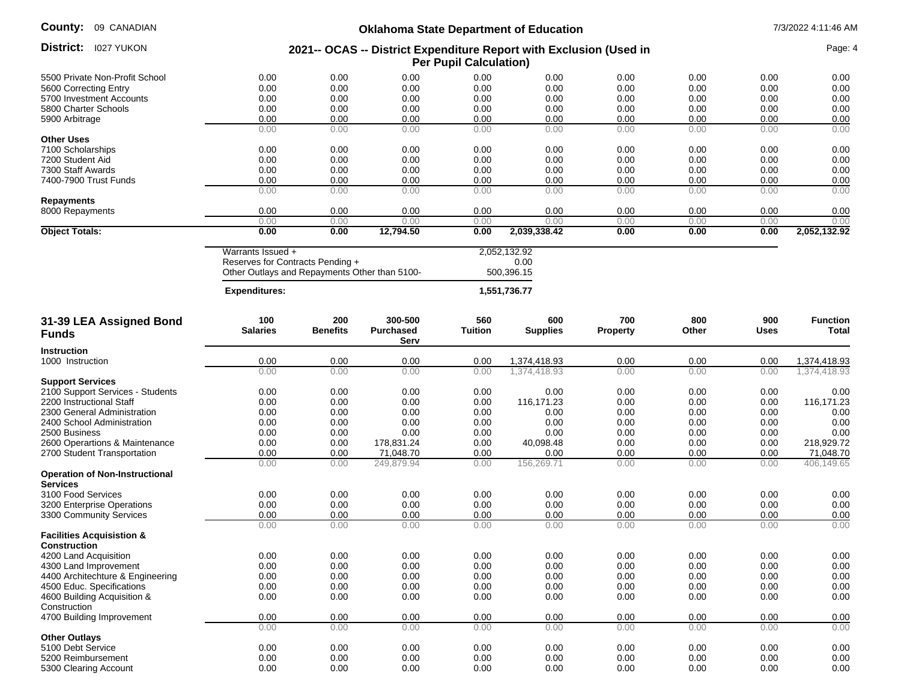| <b>County: 09 CANADIAN</b>                                   | <b>Oklahoma State Department of Education</b> |                 |                          |                               |                                                                    |                 |              | 7/3/2022 4:11:46 AM |                    |
|--------------------------------------------------------------|-----------------------------------------------|-----------------|--------------------------|-------------------------------|--------------------------------------------------------------------|-----------------|--------------|---------------------|--------------------|
| District:<br><b>I027 YUKON</b>                               |                                               |                 |                          | <b>Per Pupil Calculation)</b> | 2021-- OCAS -- District Expenditure Report with Exclusion (Used in |                 |              |                     | Page: 4            |
| 5500 Private Non-Profit School                               | 0.00                                          | 0.00            | 0.00                     | 0.00                          | 0.00                                                               | 0.00            | 0.00         | 0.00                | 0.00               |
| 5600 Correcting Entry                                        | 0.00                                          | 0.00            | 0.00                     | 0.00                          | 0.00                                                               | 0.00            | 0.00         | 0.00                | 0.00               |
| 5700 Investment Accounts                                     | 0.00                                          | 0.00            | 0.00                     | 0.00                          | 0.00                                                               | 0.00            | 0.00         | 0.00                | 0.00               |
| 5800 Charter Schools                                         | 0.00                                          | 0.00            | 0.00                     | 0.00                          | 0.00                                                               | 0.00            | 0.00         | 0.00                | 0.00               |
| 5900 Arbitrage                                               | 0.00                                          | 0.00            | 0.00                     | 0.00                          | 0.00                                                               | 0.00            | 0.00         | 0.00                | 0.00               |
|                                                              | 0.00                                          | 0.00            | 0.00                     | 0.00                          | 0.00                                                               | 0.00            | 0.00         | 0.00                | 0.00               |
| <b>Other Uses</b>                                            |                                               |                 |                          |                               |                                                                    |                 |              |                     |                    |
| 7100 Scholarships                                            | 0.00                                          | 0.00            | 0.00                     | 0.00                          | 0.00                                                               | 0.00            | 0.00         | 0.00                | 0.00               |
| 7200 Student Aid                                             | 0.00                                          | 0.00            | 0.00                     | 0.00                          | 0.00                                                               | 0.00            | 0.00         | 0.00                | 0.00               |
| 7300 Staff Awards                                            | 0.00                                          | 0.00            | 0.00                     | 0.00                          | 0.00                                                               | 0.00            | 0.00         | 0.00                | 0.00               |
| 7400-7900 Trust Funds                                        | 0.00                                          | 0.00            | 0.00                     | 0.00                          | 0.00                                                               | 0.00            | 0.00         | 0.00                | 0.00               |
|                                                              | 0.00                                          | 0.00            | 0.00                     | 0.00                          | 0.00                                                               | 0.00            | 0.00         | 0.00                | 0.00               |
| <b>Repayments</b><br>8000 Repayments                         | 0.00                                          | 0.00            | 0.00                     | 0.00                          | 0.00                                                               | 0.00            | 0.00         | 0.00                | 0.00               |
|                                                              | 0.00                                          | 0.00            | 0.00                     | 0.00                          | 0.00                                                               | 0.00            | 0.00         | 0.00                | 0.00               |
| <b>Object Totals:</b>                                        | 0.00                                          | 0.00            | 12,794.50                | 0.00                          | 2,039,338.42                                                       | 0.00            | 0.00         | 0.00                | 2,052,132.92       |
|                                                              |                                               |                 |                          |                               |                                                                    |                 |              |                     |                    |
|                                                              | Warrants Issued +                             |                 |                          |                               | 2,052,132.92                                                       |                 |              |                     |                    |
|                                                              | Reserves for Contracts Pending +              |                 |                          |                               | 0.00                                                               |                 |              |                     |                    |
|                                                              | Other Outlays and Repayments Other than 5100- |                 |                          |                               | 500,396.15                                                         |                 |              |                     |                    |
|                                                              | <b>Expenditures:</b>                          |                 |                          |                               | 1,551,736.77                                                       |                 |              |                     |                    |
| 31-39 LEA Assigned Bond                                      | 100                                           | 200             | 300-500                  | 560                           | 600                                                                | 700             | 800          | 900                 | <b>Function</b>    |
| <b>Funds</b>                                                 | <b>Salaries</b>                               | <b>Benefits</b> | <b>Purchased</b><br>Serv | <b>Tuition</b>                | <b>Supplies</b>                                                    | <b>Property</b> | Other        | <b>Uses</b>         | <b>Total</b>       |
| <b>Instruction</b>                                           |                                               |                 |                          |                               |                                                                    |                 |              |                     |                    |
| 1000 Instruction                                             | 0.00                                          | 0.00            | 0.00                     | 0.00                          | 1,374,418.93                                                       | 0.00            | 0.00         | 0.00                | 1,374,418.93       |
|                                                              | 0.00                                          | 0.00            | 0.00                     | 0.00                          | 1,374,418.93                                                       | 0.00            | 0.00         | 0.00                | 1,374,418.93       |
| <b>Support Services</b>                                      |                                               |                 |                          |                               |                                                                    |                 |              |                     |                    |
| 2100 Support Services - Students<br>2200 Instructional Staff | 0.00                                          | 0.00            | 0.00                     | 0.00                          | 0.00                                                               | 0.00            | 0.00         | 0.00                | 0.00               |
| 2300 General Administration                                  | 0.00<br>0.00                                  | 0.00<br>0.00    | 0.00<br>0.00             | 0.00<br>0.00                  | 116,171.23<br>0.00                                                 | 0.00<br>0.00    | 0.00<br>0.00 | 0.00<br>0.00        | 116,171.23<br>0.00 |
| 2400 School Administration                                   | 0.00                                          | 0.00            | 0.00                     | 0.00                          | 0.00                                                               | 0.00            | 0.00         | 0.00                | 0.00               |
| 2500 Business                                                | 0.00                                          | 0.00            | 0.00                     | 0.00                          | 0.00                                                               | 0.00            | 0.00         | 0.00                | 0.00               |
| 2600 Operartions & Maintenance                               | 0.00                                          | 0.00            | 178,831.24               | 0.00                          | 40,098.48                                                          | 0.00            | 0.00         | 0.00                | 218,929.72         |
| 2700 Student Transportation                                  | 0.00                                          | 0.00            | 71,048.70                | 0.00                          | 0.00                                                               | 0.00            | 0.00         | 0.00                | 71,048.70          |
|                                                              | 0.00                                          | 0.00            | 249.879.94               | 0.00                          | 156,269.71                                                         | 0.00            | 0.00         | 0.00                | 406,149.65         |
| <b>Operation of Non-Instructional</b>                        |                                               |                 |                          |                               |                                                                    |                 |              |                     |                    |
| <b>Services</b>                                              |                                               |                 |                          |                               |                                                                    |                 |              |                     |                    |
| 3100 Food Services                                           | 0.00                                          | 0.00            | 0.00                     | 0.00                          | 0.00                                                               | 0.00            | 0.00         | 0.00                | 0.00               |
| 3200 Enterprise Operations                                   | 0.00                                          | 0.00            | 0.00                     | 0.00                          | 0.00                                                               | 0.00            | 0.00         | 0.00                | 0.00               |
| 3300 Community Services                                      | 0.00                                          | 0.00            | 0.00                     | 0.00                          | 0.00                                                               | 0.00            | 0.00         | 0.00                | 0.00               |
| <b>Facilities Acquisistion &amp;</b>                         | 0.00                                          | 0.00            | 0.00                     | 0.00                          | 0.00                                                               | 0.00            | 0.00         | 0.00                | 0.00               |
| <b>Construction</b><br>4200 Land Acquisition                 | 0.00                                          | 0.00            | 0.00                     | 0.00                          | 0.00                                                               | 0.00            | 0.00         | 0.00                | 0.00               |
| 4300 Land Improvement                                        | 0.00                                          | 0.00            | 0.00                     | 0.00                          | 0.00                                                               | 0.00            | 0.00         | 0.00                | 0.00               |
| 4400 Architechture & Engineering                             | 0.00                                          | 0.00            | 0.00                     | 0.00                          | 0.00                                                               | 0.00            | 0.00         | 0.00                | 0.00               |
| 4500 Educ. Specifications                                    | 0.00                                          | 0.00            | 0.00                     | 0.00                          | 0.00                                                               | 0.00            | 0.00         | 0.00                | 0.00               |
| 4600 Building Acquisition &                                  | 0.00                                          | 0.00            | 0.00                     | 0.00                          | 0.00                                                               | 0.00            | 0.00         | 0.00                | 0.00               |
| Construction                                                 |                                               |                 |                          |                               |                                                                    |                 |              |                     |                    |
| 4700 Building Improvement                                    | 0.00                                          | 0.00            | 0.00                     | 0.00                          | 0.00                                                               | 0.00            | 0.00         | 0.00                | 0.00               |
|                                                              | 0.00                                          | 0.00            | 0.00                     | 0.00                          | 0.00                                                               | 0.00            | 0.00         | 0.00                | 0.00               |
| <b>Other Outlays</b>                                         |                                               |                 |                          |                               |                                                                    |                 |              |                     |                    |
| 5100 Debt Service                                            | 0.00                                          | 0.00            | 0.00                     | 0.00                          | 0.00                                                               | 0.00            | 0.00         | 0.00                | 0.00               |
| 5200 Reimbursement                                           | 0.00                                          | 0.00            | 0.00                     | 0.00                          | 0.00                                                               | 0.00            | 0.00         | 0.00                | 0.00               |
| 5300 Clearing Account                                        | 0.00                                          | 0.00            | 0.00                     | 0.00                          | 0.00                                                               | 0.00            | 0.00         | 0.00                | 0.00               |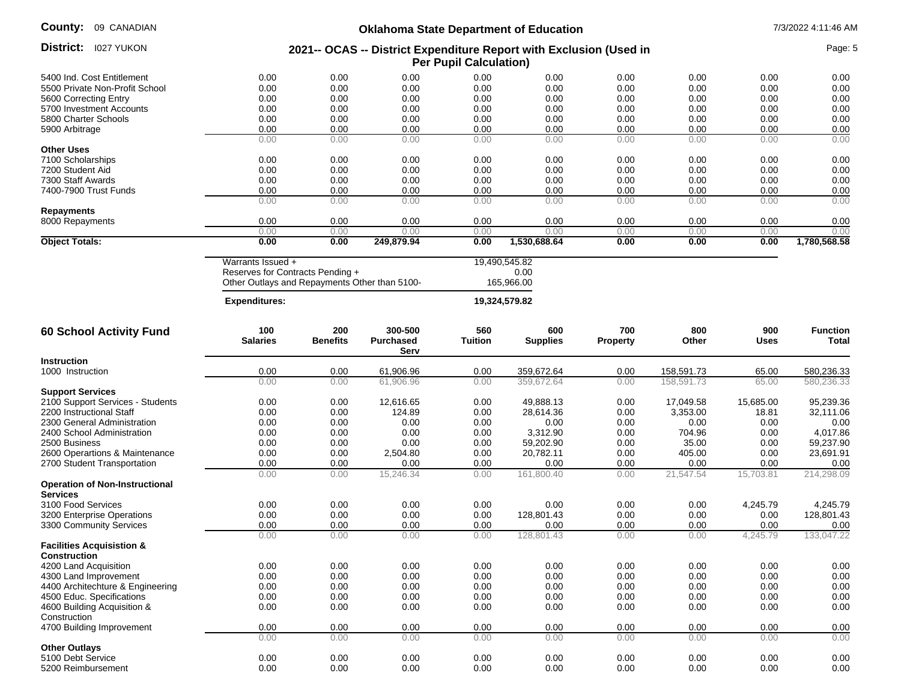**County:** 09 CANADIAN

# **Oklahoma State Department of Education** 7/3/2022 4:11:46 AM

|                                                          |                                               |                        | OKianoma State Department or Education                             |                               |                        |                 |              |                    |                          |
|----------------------------------------------------------|-----------------------------------------------|------------------------|--------------------------------------------------------------------|-------------------------------|------------------------|-----------------|--------------|--------------------|--------------------------|
| District:<br><b>I027 YUKON</b>                           |                                               |                        | 2021-- OCAS -- District Expenditure Report with Exclusion (Used in | <b>Per Pupil Calculation)</b> |                        |                 |              |                    | Page: 5                  |
| 5400 Ind. Cost Entitlement                               | 0.00                                          | 0.00                   | 0.00                                                               | 0.00                          | 0.00                   | 0.00            | 0.00         | 0.00               | 0.00                     |
| 5500 Private Non-Profit School                           | 0.00                                          | 0.00                   | 0.00                                                               | 0.00                          | 0.00                   | 0.00            | 0.00         | 0.00               | 0.00                     |
| 5600 Correcting Entry                                    | 0.00                                          | 0.00                   | 0.00                                                               | 0.00                          | 0.00                   | 0.00            | 0.00         | 0.00               | 0.00                     |
| 5700 Investment Accounts                                 | 0.00                                          | 0.00                   | 0.00                                                               | 0.00                          | 0.00                   | 0.00            | 0.00         | 0.00               | 0.00                     |
| 5800 Charter Schools                                     | 0.00                                          | 0.00                   | 0.00                                                               | 0.00                          | 0.00                   | 0.00            | 0.00         | 0.00               | 0.00                     |
| 5900 Arbitrage                                           | 0.00                                          | 0.00                   | 0.00                                                               | 0.00                          | 0.00                   | 0.00            | 0.00         | 0.00               | 0.00                     |
|                                                          | 0.00                                          | 0.00                   | 0.00                                                               | 0.00                          | 0.00                   | 0.00            | 0.00         | 0.00               | 0.00                     |
| <b>Other Uses</b>                                        |                                               |                        |                                                                    |                               |                        |                 |              |                    |                          |
| 7100 Scholarships                                        | 0.00                                          | 0.00                   | 0.00                                                               | 0.00                          | 0.00                   | 0.00            | 0.00         | 0.00               | 0.00                     |
| 7200 Student Aid                                         | 0.00                                          | 0.00                   | 0.00                                                               | 0.00                          | 0.00                   | 0.00            | 0.00         | 0.00               | 0.00                     |
| 7300 Staff Awards                                        | 0.00                                          | 0.00                   | 0.00                                                               | 0.00                          | 0.00                   | 0.00            | 0.00         | 0.00               | 0.00                     |
| 7400-7900 Trust Funds                                    | 0.00                                          | 0.00                   | 0.00                                                               | 0.00                          | 0.00                   | 0.00            | 0.00         | 0.00               | 0.00                     |
|                                                          | 0.00                                          | 0.00                   | 0.00                                                               | 0.00                          | 0.00                   | 0.00            | 0.00         | 0.00               | 0.00                     |
| <b>Repayments</b>                                        |                                               |                        |                                                                    |                               |                        |                 |              |                    |                          |
| 8000 Repayments                                          | 0.00                                          | 0.00                   | 0.00                                                               | 0.00                          | 0.00                   | 0.00            | 0.00         | 0.00               | 0.00                     |
|                                                          | 0.00                                          | 0.00                   | 0.00                                                               | 0.00                          | 0.00                   | 0.00            | 0.00         | 0.00               | 0.00                     |
| <b>Object Totals:</b>                                    | 0.00                                          | 0.00                   | 249,879.94                                                         | 0.00                          | 1,530,688.64           | 0.00            | 0.00         | 0.00               | 1,780,568.58             |
|                                                          | Warrants Issued +                             |                        |                                                                    |                               | 19,490,545.82          |                 |              |                    |                          |
|                                                          | Reserves for Contracts Pending +              |                        |                                                                    |                               | 0.00                   |                 |              |                    |                          |
|                                                          | Other Outlays and Repayments Other than 5100- |                        |                                                                    |                               | 165,966.00             |                 |              |                    |                          |
|                                                          | <b>Expenditures:</b>                          |                        |                                                                    |                               | 19,324,579.82          |                 |              |                    |                          |
|                                                          |                                               |                        |                                                                    |                               |                        |                 |              |                    |                          |
| <b>60 School Activity Fund</b>                           | 100<br><b>Salaries</b>                        | 200<br><b>Benefits</b> | 300-500<br>Purchased<br>Serv                                       | 560<br><b>Tuition</b>         | 600<br><b>Supplies</b> | 700<br>Property | 800<br>Other | 900<br><b>Uses</b> | <b>Function</b><br>Total |
| <b>Instruction</b>                                       |                                               |                        |                                                                    |                               |                        |                 |              |                    |                          |
| 1000 Instruction                                         | 0.00                                          | 0.00                   | 61,906.96                                                          | 0.00                          | 359,672.64             | 0.00            | 158,591.73   | 65.00              | 580,236.33               |
|                                                          | 0.00                                          | 0.00                   | 61,906.96                                                          | 0.00                          | 359,672.64             | 0.00            | 158,591.73   | 65.00              | 580,236.33               |
| <b>Support Services</b>                                  |                                               |                        |                                                                    |                               |                        |                 |              |                    |                          |
| 2100 Support Services - Students                         | 0.00                                          | 0.00                   | 12,616.65                                                          | 0.00                          | 49,888.13              | 0.00            | 17,049.58    | 15,685.00          | 95,239.36                |
| 2200 Instructional Staff                                 | 0.00                                          | 0.00                   | 124.89                                                             | 0.00                          | 28,614.36              | 0.00            | 3,353.00     | 18.81              | 32,111.06                |
| 2300 General Administration                              | 0.00                                          | 0.00                   | 0.00                                                               | 0.00                          | 0.00                   | 0.00            | 0.00         | 0.00               | 0.00                     |
| 2400 School Administration                               | 0.00                                          | 0.00                   | 0.00                                                               | 0.00                          | 3,312.90               | 0.00            | 704.96       | 0.00               | 4,017.86                 |
| 2500 Business                                            | 0.00                                          | 0.00                   | 0.00                                                               | 0.00                          | 59,202.90              | 0.00            | 35.00        | 0.00               | 59,237.90                |
| 2600 Operartions & Maintenance                           | 0.00                                          | 0.00                   | 2,504.80                                                           | 0.00                          | 20,782.11              | 0.00            | 405.00       | 0.00               | 23,691.91                |
| 2700 Student Transportation                              | 0.00                                          | 0.00                   | 0.00                                                               | 0.00                          | 0.00                   | 0.00            | 0.00         | 0.00               | 0.00                     |
|                                                          | 0.00                                          | 0.00                   | 15,246.34                                                          | 0.00                          | 161,800.40             | 0.00            | 21,547.54    | 15,703.81          | 214,298.09               |
| <b>Operation of Non-Instructional</b><br><b>Services</b> |                                               |                        |                                                                    |                               |                        |                 |              |                    |                          |
| 3100 Food Services                                       | 0.00                                          | 0.00                   | 0.00                                                               | 0.00                          | 0.00                   | 0.00            | 0.00         | 4,245.79           | 4,245.79                 |
| 3200 Enterprise Operations                               | 0.00                                          | 0.00                   | 0.00                                                               | 0.00                          | 128,801.43             | 0.00            | 0.00         | 0.00               | 128,801.43               |
| 3300 Community Services                                  | 0.00                                          | 0.00                   | 0.00                                                               | 0.00                          | 0.00                   | 0.00            | 0.00         | 0.00               | 0.00                     |
|                                                          | 0.00                                          | 0.00                   | 0.00                                                               | 0.00                          | 128,801.43             | 0.00            | 0.00         | 4,245.79           | 133,047.22               |
| <b>Facilities Acquisistion &amp;</b><br>Construction     |                                               |                        |                                                                    |                               |                        |                 |              |                    |                          |
| 4200 Land Acquisition                                    | 0.00                                          | 0.00                   | 0.00                                                               | 0.00                          | 0.00                   | 0.00            | 0.00         | 0.00               | 0.00                     |
|                                                          |                                               |                        |                                                                    |                               |                        |                 |              |                    |                          |
| 4300 Land Improvement                                    | 0.00                                          | 0.00                   | 0.00                                                               | 0.00                          | 0.00                   | 0.00            | 0.00         | 0.00               | 0.00                     |
| 4400 Architechture & Engineering                         | 0.00                                          | 0.00                   | 0.00                                                               | 0.00                          | 0.00                   | 0.00            | 0.00         | 0.00               | 0.00                     |
| 4500 Educ. Specifications                                | 0.00                                          | 0.00                   | 0.00                                                               | 0.00                          | 0.00                   | 0.00            | 0.00         | 0.00               | 0.00                     |
| 4600 Building Acquisition &                              | 0.00                                          | 0.00                   | 0.00                                                               | 0.00                          | 0.00                   | 0.00            | 0.00         | 0.00               | 0.00                     |
| Construction                                             |                                               |                        |                                                                    |                               |                        |                 |              |                    |                          |
| 4700 Building Improvement                                | 0.00                                          | 0.00                   | 0.00                                                               | 0.00                          | 0.00                   | 0.00            | 0.00         | 0.00               | 0.00                     |
|                                                          | 0.00                                          | 0.00                   | 0.00                                                               | 0.00                          | 0.00                   | 0.00            | 0.00         | 0.00               | 0.00                     |
| <b>Other Outlays</b><br>5100 Debt Service                | 0.00                                          | 0.00                   | 0.00                                                               | 0.00                          | 0.00                   | 0.00            | 0.00         | 0.00               | 0.00                     |
| 5200 Reimbursement                                       | 0.00                                          | 0.00                   | 0.00                                                               | 0.00                          | 0.00                   | 0.00            | 0.00         | 0.00               | 0.00                     |
|                                                          |                                               |                        |                                                                    |                               |                        |                 |              |                    |                          |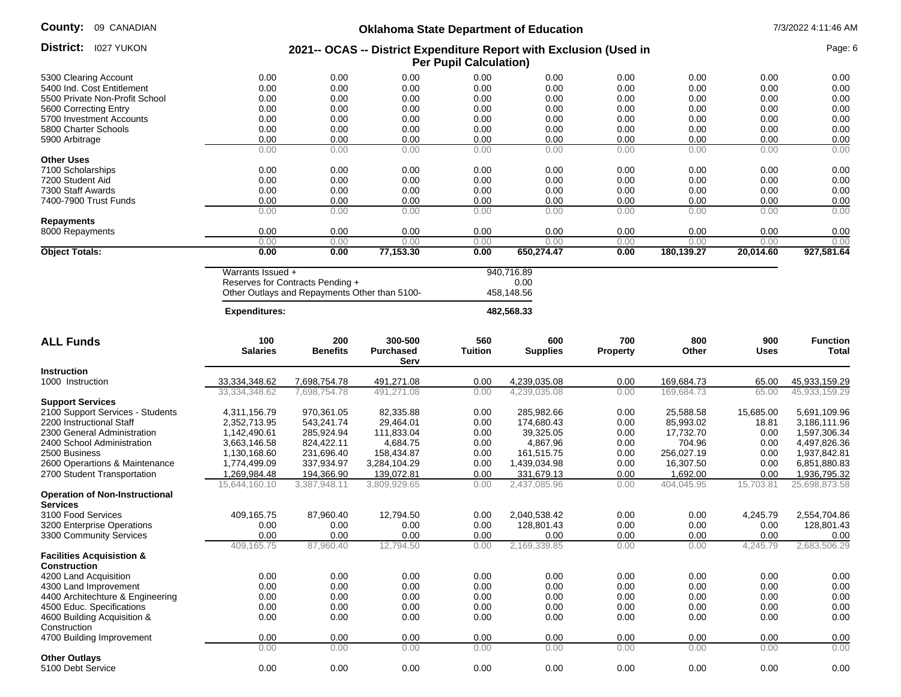| County: |  | 09 CANADIAN |
|---------|--|-------------|
|---------|--|-------------|

| County:<br>09 CANADIAN                | <b>Oklahoma State Department of Education</b> |                                               |                                                                    |                               |                        |                 |              |                    | 7/3/2022 4:11:46 AM      |  |  |
|---------------------------------------|-----------------------------------------------|-----------------------------------------------|--------------------------------------------------------------------|-------------------------------|------------------------|-----------------|--------------|--------------------|--------------------------|--|--|
| <b>District:</b> 1027 YUKON           |                                               |                                               | 2021-- OCAS -- District Expenditure Report with Exclusion (Used in | <b>Per Pupil Calculation)</b> |                        |                 |              |                    | Page: 6                  |  |  |
| 5300 Clearing Account                 | 0.00                                          | 0.00                                          | 0.00                                                               | 0.00                          | 0.00                   | 0.00            | 0.00         | 0.00               | 0.00                     |  |  |
| 5400 Ind. Cost Entitlement            | 0.00                                          | 0.00                                          | 0.00                                                               | 0.00                          | 0.00                   | 0.00            | 0.00         | 0.00               | 0.00                     |  |  |
| 5500 Private Non-Profit School        | 0.00                                          | 0.00                                          | 0.00                                                               | 0.00                          | 0.00                   | 0.00            | 0.00         | 0.00               | 0.00                     |  |  |
| 5600 Correcting Entry                 | 0.00                                          | 0.00                                          | 0.00                                                               | 0.00                          | 0.00                   | 0.00            | 0.00         | 0.00               | 0.00                     |  |  |
| 5700 Investment Accounts              | 0.00                                          | 0.00                                          | 0.00                                                               | 0.00                          | 0.00                   | 0.00            | 0.00         | 0.00               | 0.00                     |  |  |
| 5800 Charter Schools                  | 0.00                                          | 0.00                                          | 0.00                                                               | 0.00                          | 0.00                   | 0.00            | 0.00         | 0.00               | 0.00                     |  |  |
|                                       |                                               |                                               |                                                                    |                               |                        |                 |              |                    |                          |  |  |
| 5900 Arbitrage                        | 0.00                                          | 0.00                                          | 0.00                                                               | 0.00                          | 0.00                   | 0.00            | 0.00         | 0.00               | 0.00                     |  |  |
|                                       | 0.00                                          | 0.00                                          | 0.00                                                               | 0.00                          | 0.00                   | 0.00            | 0.00         | 0.00               | 0.00                     |  |  |
| <b>Other Uses</b>                     |                                               |                                               |                                                                    |                               |                        |                 |              |                    |                          |  |  |
| 7100 Scholarships                     | 0.00                                          | 0.00                                          | 0.00                                                               | 0.00                          | 0.00                   | 0.00            | 0.00         | 0.00               | 0.00                     |  |  |
| 7200 Student Aid                      | 0.00                                          | 0.00                                          | 0.00                                                               | 0.00                          | 0.00                   | 0.00            | 0.00         | 0.00               | 0.00                     |  |  |
| 7300 Staff Awards                     | 0.00                                          | 0.00                                          | 0.00                                                               | 0.00                          | 0.00                   | 0.00            | 0.00         | 0.00               | 0.00                     |  |  |
| 7400-7900 Trust Funds                 | 0.00                                          | 0.00                                          | 0.00                                                               | 0.00                          | 0.00                   | 0.00            | 0.00         | 0.00               | 0.00                     |  |  |
|                                       | 0.00                                          | 0.00                                          | 0.00                                                               | 0.00                          | 0.00                   | 0.00            | 0.00         | 0.00               | 0.00                     |  |  |
| Repayments                            | 0.00                                          |                                               |                                                                    |                               |                        |                 |              |                    |                          |  |  |
| 8000 Repayments                       | 0.00                                          | 0.00<br>0.00                                  | 0.00<br>0.00                                                       | 0.00<br>0.00                  | 0.00<br>0.00           | 0.00<br>0.00    | 0.00<br>0.00 | 0.00<br>0.00       | 0.00<br>0.00             |  |  |
| <b>Object Totals:</b>                 | 0.00                                          | 0.00                                          | 77,153.30                                                          | 0.00                          | 650,274.47             | 0.00            | 180,139.27   | 20,014.60          | 927,581.64               |  |  |
|                                       |                                               |                                               |                                                                    |                               |                        |                 |              |                    |                          |  |  |
|                                       | Warrants Issued +                             |                                               |                                                                    |                               | 940,716.89             |                 |              |                    |                          |  |  |
|                                       |                                               | Reserves for Contracts Pending +              |                                                                    |                               | 0.00                   |                 |              |                    |                          |  |  |
|                                       |                                               | Other Outlays and Repayments Other than 5100- |                                                                    |                               | 458,148.56             |                 |              |                    |                          |  |  |
|                                       |                                               |                                               |                                                                    |                               |                        |                 |              |                    |                          |  |  |
|                                       | <b>Expenditures:</b>                          |                                               |                                                                    |                               | 482,568.33             |                 |              |                    |                          |  |  |
| <b>ALL Funds</b>                      | 100<br><b>Salaries</b>                        | 200<br><b>Benefits</b>                        | 300-500<br><b>Purchased</b>                                        | 560<br><b>Tuition</b>         | 600<br><b>Supplies</b> | 700<br>Property | 800<br>Other | 900<br><b>Uses</b> | <b>Function</b><br>Total |  |  |
|                                       |                                               |                                               | Serv                                                               |                               |                        |                 |              |                    |                          |  |  |
| Instruction                           |                                               |                                               |                                                                    |                               |                        |                 |              |                    |                          |  |  |
| 1000 Instruction                      | 33,334,348.62                                 | 7,698,754.78                                  | 491,271.08                                                         | 0.00                          | 4,239,035.08           | 0.00            | 169,684.73   | 65.00              | 45,933,159.29            |  |  |
|                                       | 33,334,348.62                                 | 7,698,754.78                                  | 491,271.08                                                         | 0.00                          | 4,239,035.08           | 0.00            | 169,684.73   | 65.00              | 45,933,159.29            |  |  |
| <b>Support Services</b>               |                                               |                                               |                                                                    |                               |                        |                 |              |                    |                          |  |  |
| 2100 Support Services - Students      | 4,311,156.79                                  | 970,361.05                                    | 82,335.88                                                          | 0.00                          | 285,982.66             | 0.00            | 25,588.58    | 15,685.00          | 5,691,109.96             |  |  |
| 2200 Instructional Staff              | 2,352,713.95                                  | 543,241.74                                    | 29,464.01                                                          | 0.00                          | 174,680.43             | 0.00            | 85,993.02    | 18.81              | 3,186,111.96             |  |  |
| 2300 General Administration           | 1,142,490.61                                  | 285,924.94                                    | 111,833.04                                                         | 0.00                          | 39,325.05              | 0.00            | 17,732.70    | 0.00               | 1,597,306.34             |  |  |
|                                       | 3,663,146.58                                  |                                               |                                                                    |                               |                        |                 |              |                    |                          |  |  |
| 2400 School Administration            |                                               | 824,422.11                                    | 4,684.75                                                           | 0.00                          | 4,867.96               | 0.00            | 704.96       | 0.00               | 4,497,826.36             |  |  |
| 2500 Business                         | 1,130,168.60                                  | 231,696.40                                    | 158,434.87                                                         | 0.00                          | 161,515.75             | 0.00            | 256,027.19   | 0.00               | 1,937,842.81             |  |  |
| 2600 Operartions & Maintenance        | 1,774,499.09                                  | 337,934.97                                    | 3,284,104.29                                                       | 0.00                          | 1,439,034.98           | 0.00            | 16,307.50    | 0.00               | 6,851,880.83             |  |  |
| 2700 Student Transportation           | 1,269,984.48                                  | 194,366.90                                    | 139,072.81                                                         | 0.00                          | 331,679.13             | 0.00            | 1,692.00     | 0.00               | 1,936,795.32             |  |  |
| <b>Operation of Non-Instructional</b> | 15,644,160.10                                 | 3,387,948.11                                  | 3,809,929.65                                                       | 0.00                          | 2,437,085.96           | 0.00            | 404,045.95   | 15,703.81          | 25,698,873.58            |  |  |
| <b>Services</b>                       |                                               |                                               |                                                                    |                               |                        |                 |              |                    |                          |  |  |
| 3100 Food Services                    | 409,165.75                                    | 87,960.40                                     | 12,794.50                                                          | 0.00                          | 2,040,538.42           | 0.00            | 0.00         | 4,245.79           | 2,554,704.86             |  |  |
| 3200 Enterprise Operations            | 0.00                                          | 0.00                                          | 0.00                                                               | 0.00                          | 128,801.43             | 0.00            | 0.00         | 0.00               | 128,801.43               |  |  |
| 3300 Community Services               | 0.00                                          | 0.00                                          | 0.00                                                               | 0.00                          | 0.00                   | 0.00            | 0.00         | 0.00               | 0.00                     |  |  |
|                                       | 409,165.75                                    | 87,960.40                                     | 12,794.50                                                          | 0.00                          | 2,169,339.85           | 0.00            | 0.00         | 4,245.79           | 2,683,506.29             |  |  |
| <b>Facilities Acquisistion &amp;</b>  |                                               |                                               |                                                                    |                               |                        |                 |              |                    |                          |  |  |
| <b>Construction</b>                   |                                               |                                               |                                                                    |                               |                        |                 |              |                    |                          |  |  |
| 4200 Land Acquisition                 | 0.00                                          | 0.00                                          | 0.00                                                               | 0.00                          | 0.00                   | 0.00            | 0.00         | 0.00               | 0.00                     |  |  |
| 4300 Land Improvement                 | 0.00                                          | 0.00                                          | 0.00                                                               | 0.00                          | 0.00                   | 0.00            | 0.00         | 0.00               | 0.00                     |  |  |
| 4400 Architechture & Engineering      |                                               |                                               |                                                                    |                               |                        |                 |              |                    |                          |  |  |
|                                       | 0.00                                          | 0.00                                          | 0.00                                                               | 0.00                          | 0.00                   | 0.00            | 0.00         | 0.00               | 0.00                     |  |  |
| 4500 Educ. Specifications             | 0.00                                          | 0.00                                          | 0.00                                                               | 0.00                          | 0.00                   | 0.00            | 0.00         | 0.00               | 0.00                     |  |  |
| 4600 Building Acquisition &           | 0.00                                          | 0.00                                          | 0.00                                                               | 0.00                          | 0.00                   | 0.00            | 0.00         | 0.00               | 0.00                     |  |  |
| Construction                          |                                               |                                               |                                                                    |                               |                        |                 |              |                    |                          |  |  |
| 4700 Building Improvement             | 0.00                                          | 0.00                                          | 0.00                                                               | 0.00                          | 0.00                   | 0.00            | 0.00         | 0.00               | 0.00                     |  |  |
|                                       | 0.00                                          | 0.00                                          | 0.00                                                               | 0.00                          | 0.00                   | 0.00            | 0.00         | 0.00               | 0.00                     |  |  |
| <b>Other Outlays</b>                  |                                               |                                               |                                                                    |                               |                        |                 |              |                    |                          |  |  |
| 5100 Debt Service                     | $0.00\,$                                      | 0.00                                          | 0.00                                                               | 0.00                          | 0.00                   | 0.00            | 0.00         | 0.00               | 0.00                     |  |  |